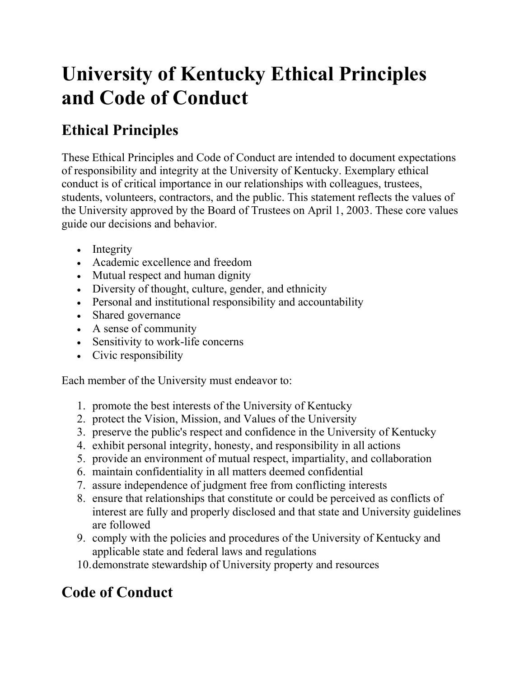# **University of Kentucky Ethical Principles and Code of Conduct**

# **Ethical Principles**

These Ethical Principles and Code of Conduct are intended to document expectations of responsibility and integrity at the University of Kentucky. Exemplary ethical conduct is of critical importance in our relationships with colleagues, trustees, students, volunteers, contractors, and the public. This statement reflects the values of the University approved by the Board of Trustees on April 1, 2003. These core values guide our decisions and behavior.

- Integrity
- Academic excellence and freedom
- Mutual respect and human dignity
- Diversity of thought, culture, gender, and ethnicity
- Personal and institutional responsibility and accountability
- Shared governance
- A sense of community
- Sensitivity to work-life concerns
- Civic responsibility

Each member of the University must endeavor to:

- 1. promote the best interests of the University of Kentucky
- 2. protect the Vision, Mission, and Values of the University
- 3. preserve the public's respect and confidence in the University of Kentucky
- 4. exhibit personal integrity, honesty, and responsibility in all actions
- 5. provide an environment of mutual respect, impartiality, and collaboration
- 6. maintain confidentiality in all matters deemed confidential
- 7. assure independence of judgment free from conflicting interests
- 8. ensure that relationships that constitute or could be perceived as conflicts of interest are fully and properly disclosed and that state and University guidelines are followed
- 9. comply with the policies and procedures of the University of Kentucky and applicable state and federal laws and regulations

10.demonstrate stewardship of University property and resources

# **Code of Conduct**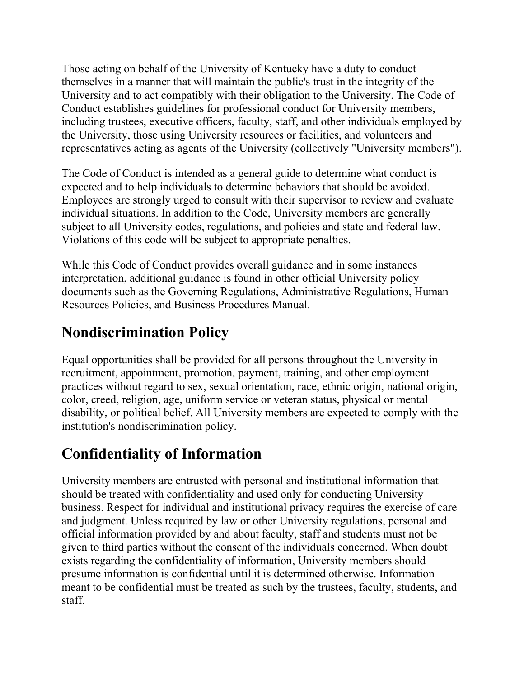Those acting on behalf of the University of Kentucky have a duty to conduct themselves in a manner that will maintain the public's trust in the integrity of the University and to act compatibly with their obligation to the University. The Code of Conduct establishes guidelines for professional conduct for University members, including trustees, executive officers, faculty, staff, and other individuals employed by the University, those using University resources or facilities, and volunteers and representatives acting as agents of the University (collectively "University members").

The Code of Conduct is intended as a general guide to determine what conduct is expected and to help individuals to determine behaviors that should be avoided. Employees are strongly urged to consult with their supervisor to review and evaluate individual situations. In addition to the Code, University members are generally subject to all University codes, regulations, and policies and state and federal law. Violations of this code will be subject to appropriate penalties.

While this Code of Conduct provides overall guidance and in some instances interpretation, additional guidance is found in other official University policy documents such as the Governing Regulations, Administrative Regulations, Human Resources Policies, and Business Procedures Manual.

### **Nondiscrimination Policy**

Equal opportunities shall be provided for all persons throughout the University in recruitment, appointment, promotion, payment, training, and other employment practices without regard to sex, sexual orientation, race, ethnic origin, national origin, color, creed, religion, age, uniform service or veteran status, physical or mental disability, or political belief. All University members are expected to comply with the institution's nondiscrimination policy.

# **Confidentiality of Information**

University members are entrusted with personal and institutional information that should be treated with confidentiality and used only for conducting University business. Respect for individual and institutional privacy requires the exercise of care and judgment. Unless required by law or other University regulations, personal and official information provided by and about faculty, staff and students must not be given to third parties without the consent of the individuals concerned. When doubt exists regarding the confidentiality of information, University members should presume information is confidential until it is determined otherwise. Information meant to be confidential must be treated as such by the trustees, faculty, students, and staff.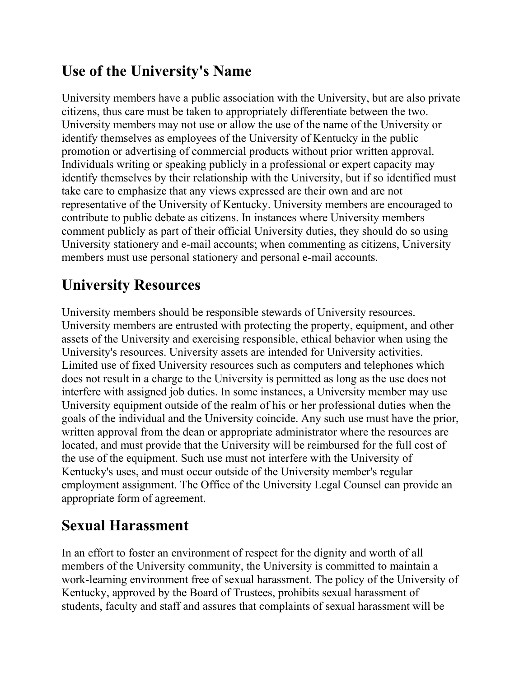#### **Use of the University's Name**

University members have a public association with the University, but are also private citizens, thus care must be taken to appropriately differentiate between the two. University members may not use or allow the use of the name of the University or identify themselves as employees of the University of Kentucky in the public promotion or advertising of commercial products without prior written approval. Individuals writing or speaking publicly in a professional or expert capacity may identify themselves by their relationship with the University, but if so identified must take care to emphasize that any views expressed are their own and are not representative of the University of Kentucky. University members are encouraged to contribute to public debate as citizens. In instances where University members comment publicly as part of their official University duties, they should do so using University stationery and e-mail accounts; when commenting as citizens, University members must use personal stationery and personal e-mail accounts.

#### **University Resources**

University members should be responsible stewards of University resources. University members are entrusted with protecting the property, equipment, and other assets of the University and exercising responsible, ethical behavior when using the University's resources. University assets are intended for University activities. Limited use of fixed University resources such as computers and telephones which does not result in a charge to the University is permitted as long as the use does not interfere with assigned job duties. In some instances, a University member may use University equipment outside of the realm of his or her professional duties when the goals of the individual and the University coincide. Any such use must have the prior, written approval from the dean or appropriate administrator where the resources are located, and must provide that the University will be reimbursed for the full cost of the use of the equipment. Such use must not interfere with the University of Kentucky's uses, and must occur outside of the University member's regular employment assignment. The Office of the University Legal Counsel can provide an appropriate form of agreement.

#### **Sexual Harassment**

In an effort to foster an environment of respect for the dignity and worth of all members of the University community, the University is committed to maintain a work-learning environment free of sexual harassment. The policy of the University of Kentucky, approved by the Board of Trustees, prohibits sexual harassment of students, faculty and staff and assures that complaints of sexual harassment will be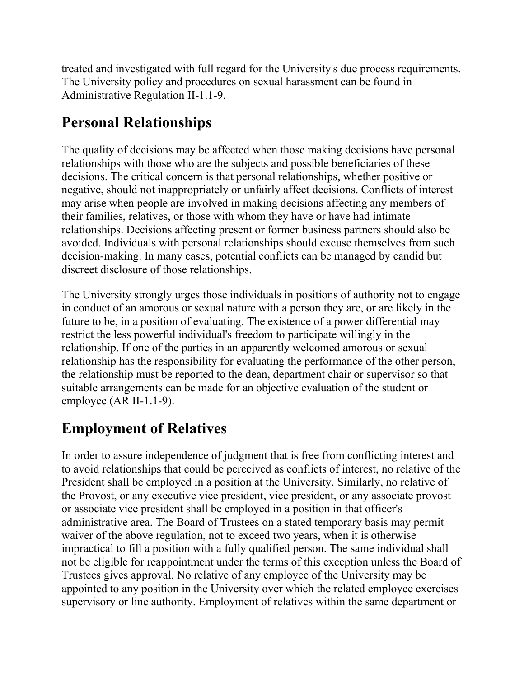treated and investigated with full regard for the University's due process requirements. The University policy and procedures on sexual harassment can be found in Administrative Regulation II-1.1-9.

#### **Personal Relationships**

The quality of decisions may be affected when those making decisions have personal relationships with those who are the subjects and possible beneficiaries of these decisions. The critical concern is that personal relationships, whether positive or negative, should not inappropriately or unfairly affect decisions. Conflicts of interest may arise when people are involved in making decisions affecting any members of their families, relatives, or those with whom they have or have had intimate relationships. Decisions affecting present or former business partners should also be avoided. Individuals with personal relationships should excuse themselves from such decision-making. In many cases, potential conflicts can be managed by candid but discreet disclosure of those relationships.

The University strongly urges those individuals in positions of authority not to engage in conduct of an amorous or sexual nature with a person they are, or are likely in the future to be, in a position of evaluating. The existence of a power differential may restrict the less powerful individual's freedom to participate willingly in the relationship. If one of the parties in an apparently welcomed amorous or sexual relationship has the responsibility for evaluating the performance of the other person, the relationship must be reported to the dean, department chair or supervisor so that suitable arrangements can be made for an objective evaluation of the student or employee (AR II-1.1-9).

#### **Employment of Relatives**

In order to assure independence of judgment that is free from conflicting interest and to avoid relationships that could be perceived as conflicts of interest, no relative of the President shall be employed in a position at the University. Similarly, no relative of the Provost, or any executive vice president, vice president, or any associate provost or associate vice president shall be employed in a position in that officer's administrative area. The Board of Trustees on a stated temporary basis may permit waiver of the above regulation, not to exceed two years, when it is otherwise impractical to fill a position with a fully qualified person. The same individual shall not be eligible for reappointment under the terms of this exception unless the Board of Trustees gives approval. No relative of any employee of the University may be appointed to any position in the University over which the related employee exercises supervisory or line authority. Employment of relatives within the same department or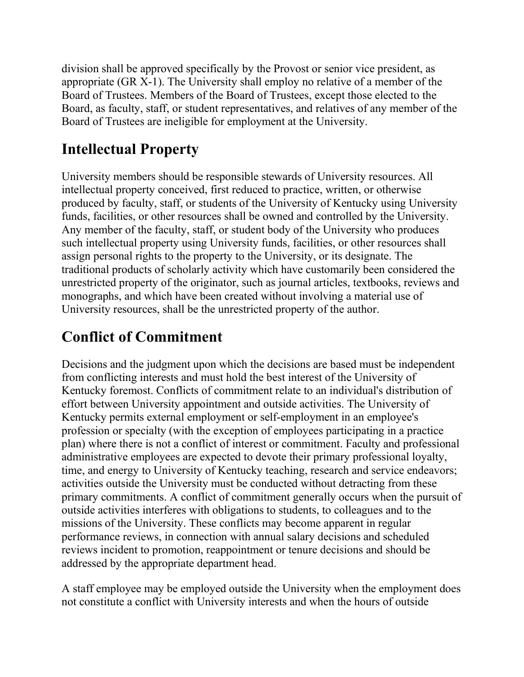division shall be approved specifically by the Provost or senior vice president, as appropriate (GR X-1). The University shall employ no relative of a member of the Board of Trustees. Members of the Board of Trustees, except those elected to the Board, as faculty, staff, or student representatives, and relatives of any member of the Board of Trustees are ineligible for employment at the University.

#### **Intellectual Property**

University members should be responsible stewards of University resources. All intellectual property conceived, first reduced to practice, written, or otherwise produced by faculty, staff, or students of the University of Kentucky using University funds, facilities, or other resources shall be owned and controlled by the University. Any member of the faculty, staff, or student body of the University who produces such intellectual property using University funds, facilities, or other resources shall assign personal rights to the property to the University, or its designate. The traditional products of scholarly activity which have customarily been considered the unrestricted property of the originator, such as journal articles, textbooks, reviews and monographs, and which have been created without involving a material use of University resources, shall be the unrestricted property of the author.

# **Conflict of Commitment**

Decisions and the judgment upon which the decisions are based must be independent from conflicting interests and must hold the best interest of the University of Kentucky foremost. Conflicts of commitment relate to an individual's distribution of effort between University appointment and outside activities. The University of Kentucky permits external employment or self-employment in an employee's profession or specialty (with the exception of employees participating in a practice plan) where there is not a conflict of interest or commitment. Faculty and professional administrative employees are expected to devote their primary professional loyalty, time, and energy to University of Kentucky teaching, research and service endeavors; activities outside the University must be conducted without detracting from these primary commitments. A conflict of commitment generally occurs when the pursuit of outside activities interferes with obligations to students, to colleagues and to the missions of the University. These conflicts may become apparent in regular performance reviews, in connection with annual salary decisions and scheduled reviews incident to promotion, reappointment or tenure decisions and should be addressed by the appropriate department head.

A staff employee may be employed outside the University when the employment does not constitute a conflict with University interests and when the hours of outside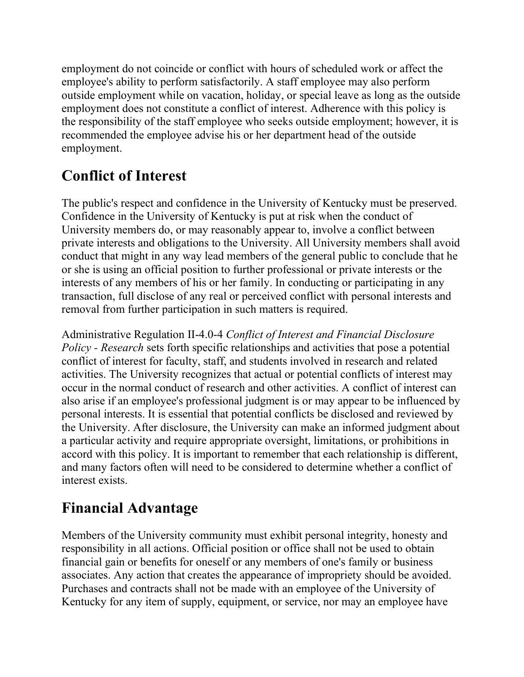employment do not coincide or conflict with hours of scheduled work or affect the employee's ability to perform satisfactorily. A staff employee may also perform outside employment while on vacation, holiday, or special leave as long as the outside employment does not constitute a conflict of interest. Adherence with this policy is the responsibility of the staff employee who seeks outside employment; however, it is recommended the employee advise his or her department head of the outside employment.

#### **Conflict of Interest**

The public's respect and confidence in the University of Kentucky must be preserved. Confidence in the University of Kentucky is put at risk when the conduct of University members do, or may reasonably appear to, involve a conflict between private interests and obligations to the University. All University members shall avoid conduct that might in any way lead members of the general public to conclude that he or she is using an official position to further professional or private interests or the interests of any members of his or her family. In conducting or participating in any transaction, full disclose of any real or perceived conflict with personal interests and removal from further participation in such matters is required.

Administrative Regulation II-4.0-4 *Conflict of Interest and Financial Disclosure Policy - Research* sets forth specific relationships and activities that pose a potential conflict of interest for faculty, staff, and students involved in research and related activities. The University recognizes that actual or potential conflicts of interest may occur in the normal conduct of research and other activities. A conflict of interest can also arise if an employee's professional judgment is or may appear to be influenced by personal interests. It is essential that potential conflicts be disclosed and reviewed by the University. After disclosure, the University can make an informed judgment about a particular activity and require appropriate oversight, limitations, or prohibitions in accord with this policy. It is important to remember that each relationship is different, and many factors often will need to be considered to determine whether a conflict of interest exists.

# **Financial Advantage**

Members of the University community must exhibit personal integrity, honesty and responsibility in all actions. Official position or office shall not be used to obtain financial gain or benefits for oneself or any members of one's family or business associates. Any action that creates the appearance of impropriety should be avoided. Purchases and contracts shall not be made with an employee of the University of Kentucky for any item of supply, equipment, or service, nor may an employee have